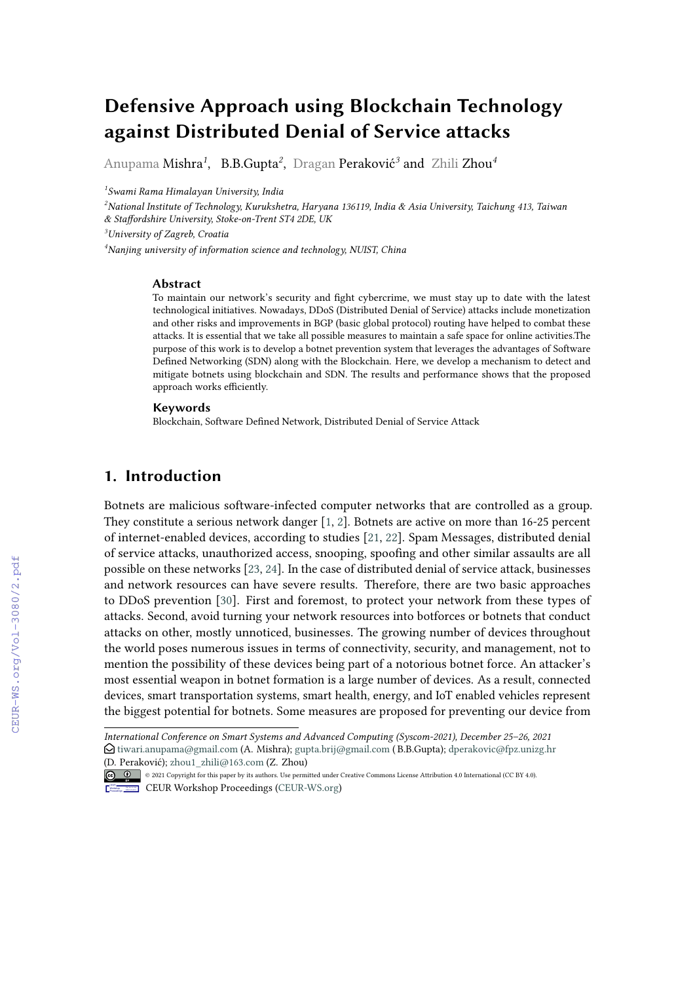# **Defensive Approach using Blockchain Technology against Distributed Denial of Service attacks**

Anupama Mishra*<sup>1</sup>* , B.B.Gupta*<sup>2</sup>* , Dragan Peraković*<sup>3</sup>* and Zhili Zhou*<sup>4</sup>*

*1 Swami Rama Himalayan University, India*

*<sup>2</sup>National Institute of Technology, Kurukshetra, Haryana 136119, India & Asia University, Taichung 413, Taiwan & Staffordshire University, Stoke-on-Trent ST4 2DE, UK*

*<sup>3</sup>University of Zagreb, Croatia*

*<sup>4</sup>Nanjing university of information science and technology, NUIST, China*

#### **Abstract**

To maintain our network's security and fight cybercrime, we must stay up to date with the latest technological initiatives. Nowadays, DDoS (Distributed Denial of Service) attacks include monetization and other risks and improvements in BGP (basic global protocol) routing have helped to combat these attacks. It is essential that we take all possible measures to maintain a safe space for online activities.The purpose of this work is to develop a botnet prevention system that leverages the advantages of Software Defined Networking (SDN) along with the Blockchain. Here, we develop a mechanism to detect and mitigate botnets using blockchain and SDN. The results and performance shows that the proposed approach works efficiently.

#### **Keywords**

Blockchain, Software Defined Network, Distributed Denial of Service Attack

#### **1. Introduction**

Botnets are malicious software-infected computer networks that are controlled as a group. They constitute a serious network danger [\[1,](#page--1-0) [2\]](#page--1-1). Botnets are active on more than 16-25 percent of internet-enabled devices, according to studies [\[21,](#page--1-2) [22\]](#page--1-3). Spam Messages, distributed denial of service attacks, unauthorized access, snooping, spoofing and other similar assaults are all possible on these networks [\[23,](#page--1-4) [24\]](#page--1-5). In the case of distributed denial of service attack, businesses and network resources can have severe results. Therefore, there are two basic approaches to DDoS prevention [\[30\]](#page--1-6). First and foremost, to protect your network from these types of attacks. Second, avoid turning your network resources into botforces or botnets that conduct attacks on other, mostly unnoticed, businesses. The growing number of devices throughout the world poses numerous issues in terms of connectivity, security, and management, not to mention the possibility of these devices being part of a notorious botnet force. An attacker's most essential weapon in botnet formation is a large number of devices. As a result, connected devices, smart transportation systems, smart health, energy, and IoT enabled vehicles represent the biggest potential for botnets. Some measures are proposed for preventing our device from

*International Conference on Smart Systems and Advanced Computing (Syscom-2021), December 25–26, 2021*  $\bigcirc$  [tiwari.anupama@gmail.com](mailto:tiwari.anupama@gmail.com) (A. Mishra); [gupta.brij@gmail.com](mailto:gupta.brij@gmail.com) (B.B.Gupta); [dperakovic@fpz.unizg.hr](mailto:dperakovic@fpz.unizg.hr) [\(D. Perak](https://creativecommons.org/licenses/by/4.0)ović); [zhou1\\_zhili@163.com](mailto:zhou\protect 1_zhili@163.com) (Z. Zhou)

<sup>©</sup> 2021 Copyright for this paper by its authors. Use permitted under Creative Commons License Attribution 4.0 International (CC BY 4.0).

CEUR Workshop [Proceedings](http://ceur-ws.org) [\(CEUR-WS.org\)](http://ceur-ws.org)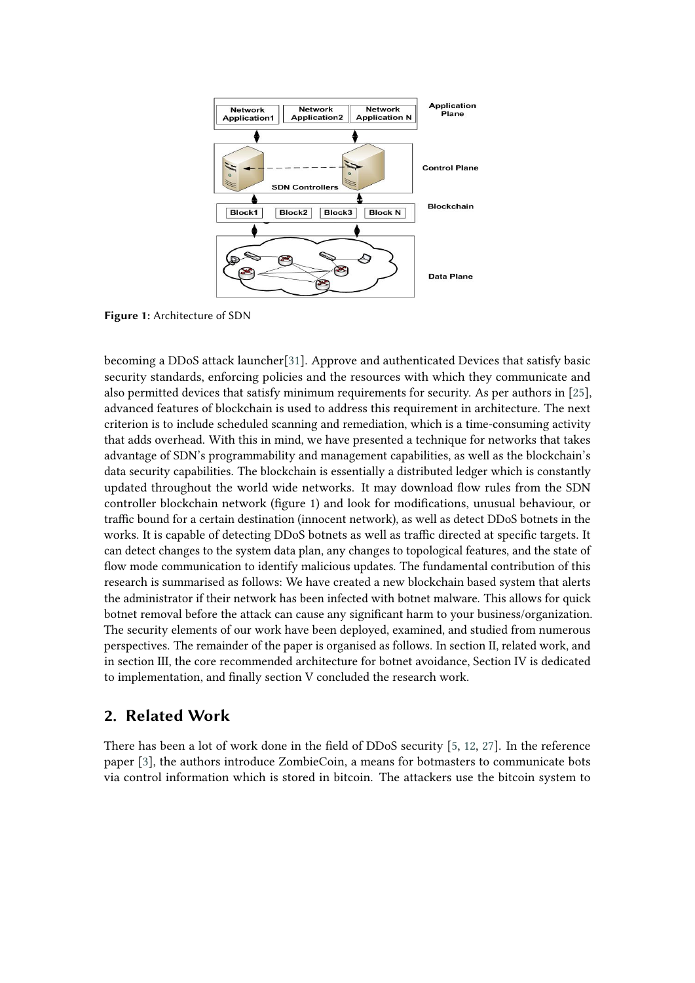

**Figure 1:** Architecture of SDN

becoming a DDoS attack launcher[\[31\]](#page-6-0). Approve and authenticated Devices that satisfy basic security standards, enforcing policies and the resources with which they communicate and also permitted devices that satisfy minimum requirements for security. As per authors in [\[25\]](#page-6-1), advanced features of blockchain is used to address this requirement in architecture. The next criterion is to include scheduled scanning and remediation, which is a time-consuming activity that adds overhead. With this in mind, we have presented a technique for networks that takes advantage of SDN's programmability and management capabilities, as well as the blockchain's data security capabilities. The blockchain is essentially a distributed ledger which is constantly updated throughout the world wide networks. It may download flow rules from the SDN controller blockchain network (figure 1) and look for modifications, unusual behaviour, or traffic bound for a certain destination (innocent network), as well as detect DDoS botnets in the works. It is capable of detecting DDoS botnets as well as traffic directed at specific targets. It can detect changes to the system data plan, any changes to topological features, and the state of flow mode communication to identify malicious updates. The fundamental contribution of this research is summarised as follows: We have created a new blockchain based system that alerts the administrator if their network has been infected with botnet malware. This allows for quick botnet removal before the attack can cause any significant harm to your business/organization. The security elements of our work have been deployed, examined, and studied from numerous perspectives. The remainder of the paper is organised as follows. In section II, related work, and in section III, the core recommended architecture for botnet avoidance, Section IV is dedicated to implementation, and finally section V concluded the research work.

### **2. Related Work**

There has been a lot of work done in the field of DDoS security [\[5,](#page-5-0) [12,](#page-5-1) [27\]](#page-6-2). In the reference paper [\[3\]](#page-4-0), the authors introduce ZombieCoin, a means for botmasters to communicate bots via control information which is stored in bitcoin. The attackers use the bitcoin system to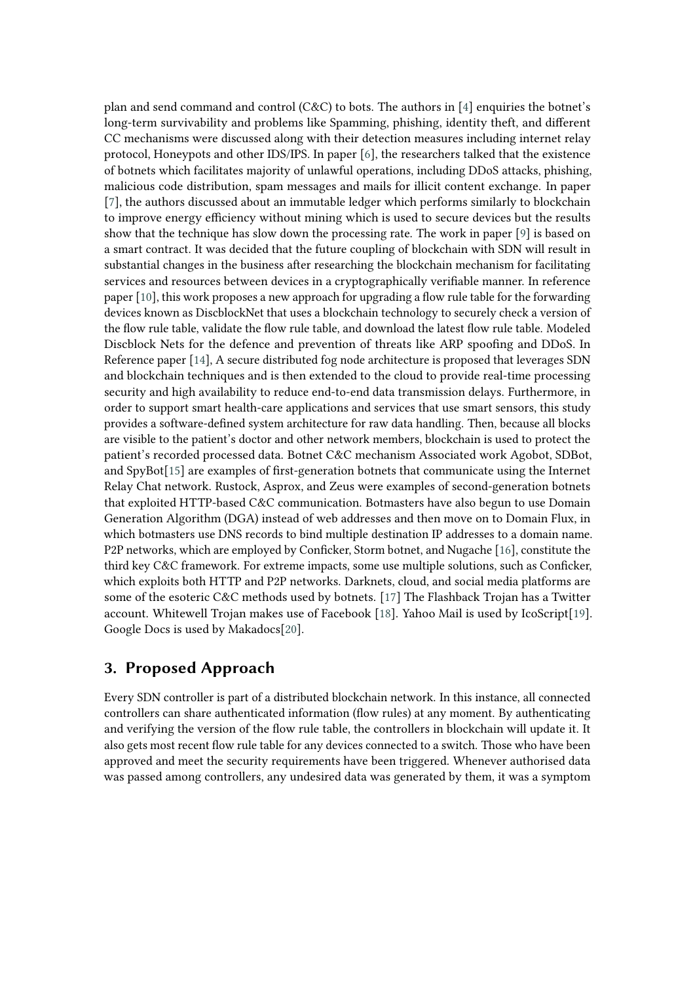plan and send command and control (C&C) to bots. The authors in [\[4\]](#page-5-2) enquiries the botnet's long-term survivability and problems like Spamming, phishing, identity theft, and different CC mechanisms were discussed along with their detection measures including internet relay protocol, Honeypots and other IDS/IPS. In paper [\[6\]](#page-5-3), the researchers talked that the existence of botnets which facilitates majority of unlawful operations, including DDoS attacks, phishing, malicious code distribution, spam messages and mails for illicit content exchange. In paper [\[7\]](#page-5-4), the authors discussed about an immutable ledger which performs similarly to blockchain to improve energy efficiency without mining which is used to secure devices but the results show that the technique has slow down the processing rate. The work in paper [\[9\]](#page-5-5) is based on a smart contract. It was decided that the future coupling of blockchain with SDN will result in substantial changes in the business after researching the blockchain mechanism for facilitating services and resources between devices in a cryptographically verifiable manner. In reference paper [\[10\]](#page-5-6), this work proposes a new approach for upgrading a flow rule table for the forwarding devices known as DiscblockNet that uses a blockchain technology to securely check a version of the flow rule table, validate the flow rule table, and download the latest flow rule table. Modeled Discblock Nets for the defence and prevention of threats like ARP spoofing and DDoS. In Reference paper [\[14\]](#page-5-7), A secure distributed fog node architecture is proposed that leverages SDN and blockchain techniques and is then extended to the cloud to provide real-time processing security and high availability to reduce end-to-end data transmission delays. Furthermore, in order to support smart health-care applications and services that use smart sensors, this study provides a software-defined system architecture for raw data handling. Then, because all blocks are visible to the patient's doctor and other network members, blockchain is used to protect the patient's recorded processed data. Botnet C&C mechanism Associated work Agobot, SDBot, and SpyBot[\[15\]](#page-5-8) are examples of first-generation botnets that communicate using the Internet Relay Chat network. Rustock, Asprox, and Zeus were examples of second-generation botnets that exploited HTTP-based C&C communication. Botmasters have also begun to use Domain Generation Algorithm (DGA) instead of web addresses and then move on to Domain Flux, in which botmasters use DNS records to bind multiple destination IP addresses to a domain name. P2P networks, which are employed by Conficker, Storm botnet, and Nugache [\[16\]](#page-5-9), constitute the third key C&C framework. For extreme impacts, some use multiple solutions, such as Conficker, which exploits both HTTP and P2P networks. Darknets, cloud, and social media platforms are some of the esoteric C&C methods used by botnets. [\[17\]](#page-5-10) The Flashback Trojan has a Twitter account. Whitewell Trojan makes use of Facebook [\[18\]](#page-5-11). Yahoo Mail is used by IcoScript[\[19\]](#page-5-12). Google Docs is used by Makadocs[\[20\]](#page-5-13).

## **3. Proposed Approach**

Every SDN controller is part of a distributed blockchain network. In this instance, all connected controllers can share authenticated information (flow rules) at any moment. By authenticating and verifying the version of the flow rule table, the controllers in blockchain will update it. It also gets most recent flow rule table for any devices connected to a switch. Those who have been approved and meet the security requirements have been triggered. Whenever authorised data was passed among controllers, any undesired data was generated by them, it was a symptom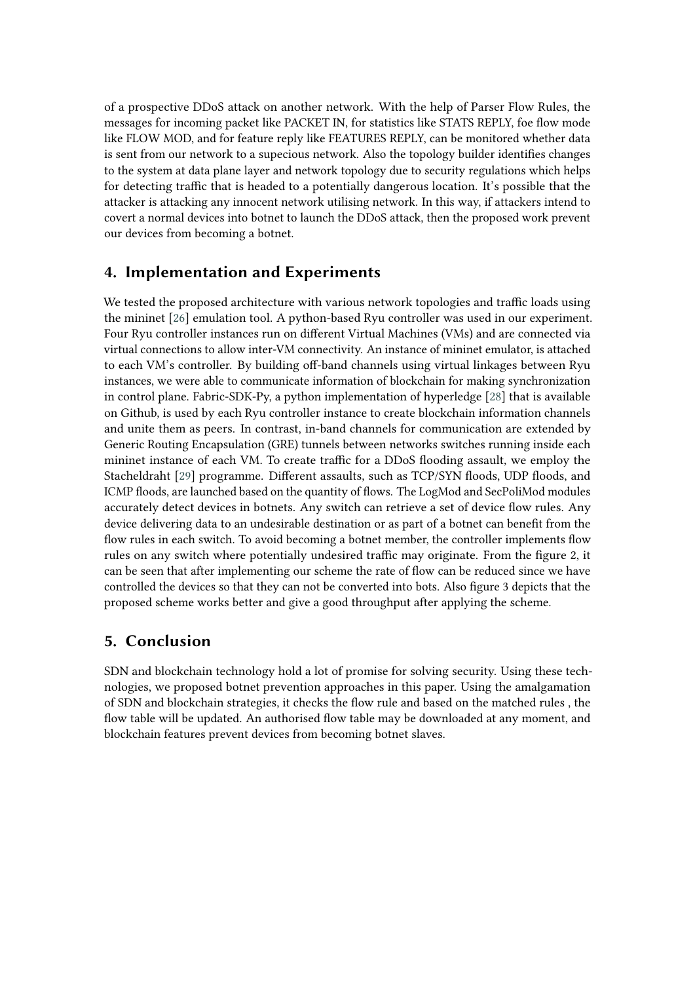of a prospective DDoS attack on another network. With the help of Parser Flow Rules, the messages for incoming packet like PACKET IN, for statistics like STATS REPLY, foe flow mode like FLOW MOD, and for feature reply like FEATURES REPLY, can be monitored whether data is sent from our network to a supecious network. Also the topology builder identifies changes to the system at data plane layer and network topology due to security regulations which helps for detecting traffic that is headed to a potentially dangerous location. It's possible that the attacker is attacking any innocent network utilising network. In this way, if attackers intend to covert a normal devices into botnet to launch the DDoS attack, then the proposed work prevent our devices from becoming a botnet.

### **4. Implementation and Experiments**

We tested the proposed architecture with various network topologies and traffic loads using the mininet [\[26\]](#page-6-3) emulation tool. A python-based Ryu controller was used in our experiment. Four Ryu controller instances run on different Virtual Machines (VMs) and are connected via virtual connections to allow inter-VM connectivity. An instance of mininet emulator, is attached to each VM's controller. By building off-band channels using virtual linkages between Ryu instances, we were able to communicate information of blockchain for making synchronization in control plane. Fabric-SDK-Py, a python implementation of hyperledge [\[28\]](#page-6-4) that is available on Github, is used by each Ryu controller instance to create blockchain information channels and unite them as peers. In contrast, in-band channels for communication are extended by Generic Routing Encapsulation (GRE) tunnels between networks switches running inside each mininet instance of each VM. To create traffic for a DDoS flooding assault, we employ the Stacheldraht [\[29\]](#page-6-5) programme. Different assaults, such as TCP/SYN floods, UDP floods, and ICMP floods, are launched based on the quantity of flows. The LogMod and SecPoliMod modules accurately detect devices in botnets. Any switch can retrieve a set of device flow rules. Any device delivering data to an undesirable destination or as part of a botnet can benefit from the flow rules in each switch. To avoid becoming a botnet member, the controller implements flow rules on any switch where potentially undesired traffic may originate. From the figure 2, it can be seen that after implementing our scheme the rate of flow can be reduced since we have controlled the devices so that they can not be converted into bots. Also figure 3 depicts that the proposed scheme works better and give a good throughput after applying the scheme.

### **5. Conclusion**

SDN and blockchain technology hold a lot of promise for solving security. Using these technologies, we proposed botnet prevention approaches in this paper. Using the amalgamation of SDN and blockchain strategies, it checks the flow rule and based on the matched rules , the flow table will be updated. An authorised flow table may be downloaded at any moment, and blockchain features prevent devices from becoming botnet slaves.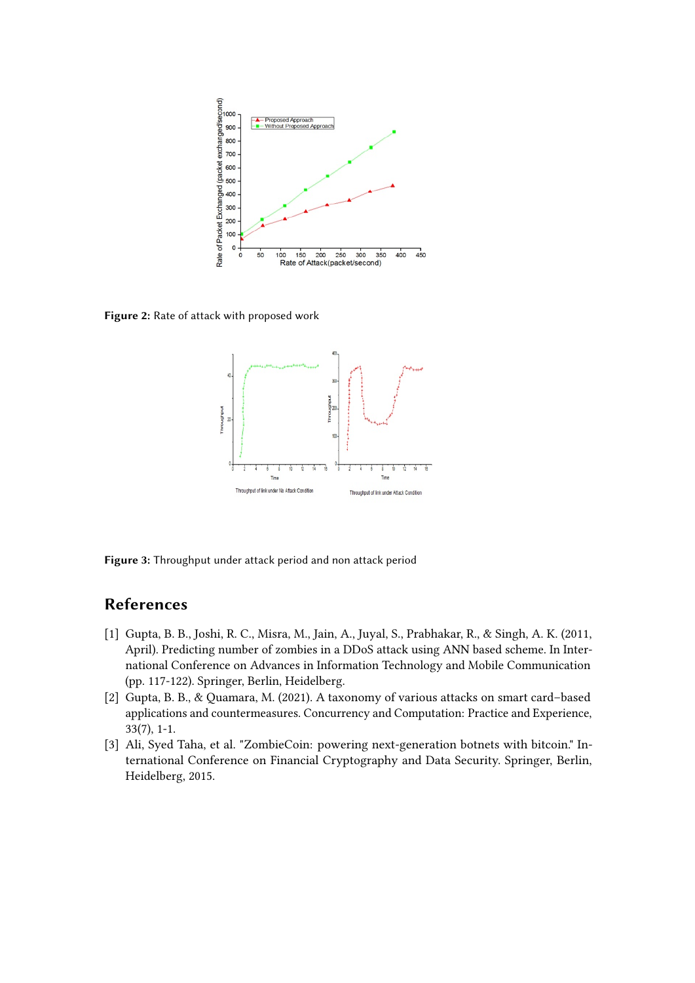

**Figure 2:** Rate of attack with proposed work



**Figure 3:** Throughput under attack period and non attack period

## **References**

- [1] Gupta, B. B., Joshi, R. C., Misra, M., Jain, A., Juyal, S., Prabhakar, R., & Singh, A. K. (2011, April). Predicting number of zombies in a DDoS attack using ANN based scheme. In International Conference on Advances in Information Technology and Mobile Communication (pp. 117-122). Springer, Berlin, Heidelberg.
- [2] Gupta, B. B., & Quamara, M. (2021). A taxonomy of various attacks on smart card–based applications and countermeasures. Concurrency and Computation: Practice and Experience, 33(7), 1-1.
- <span id="page-4-0"></span>[3] Ali, Syed Taha, et al. "ZombieCoin: powering next-generation botnets with bitcoin." International Conference on Financial Cryptography and Data Security. Springer, Berlin, Heidelberg, 2015.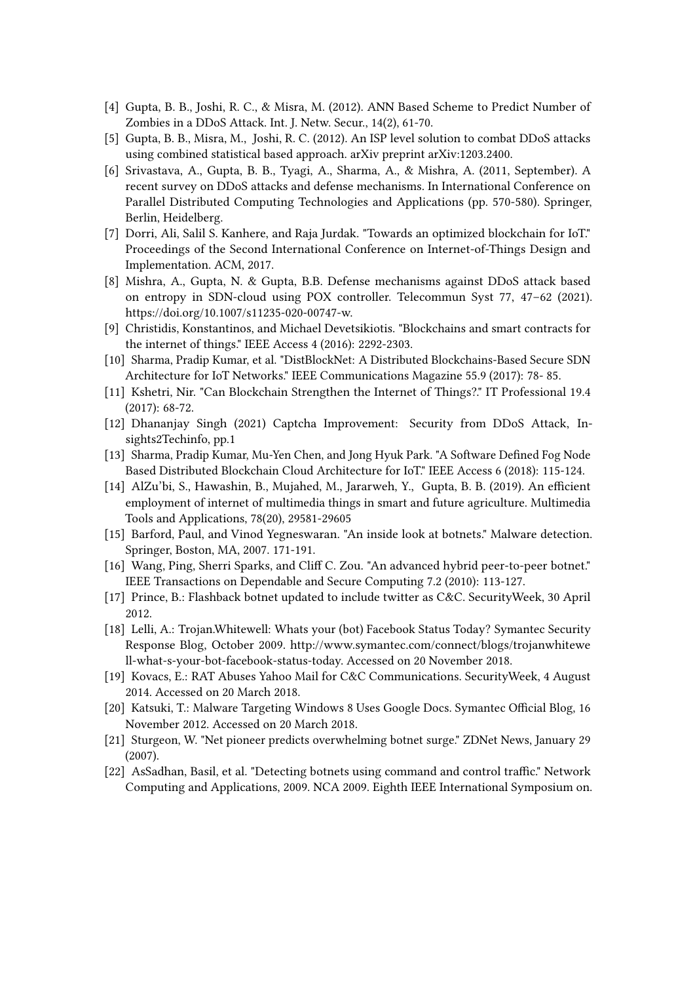- <span id="page-5-2"></span>[4] Gupta, B. B., Joshi, R. C., & Misra, M. (2012). ANN Based Scheme to Predict Number of Zombies in a DDoS Attack. Int. J. Netw. Secur., 14(2), 61-70.
- <span id="page-5-0"></span>[5] Gupta, B. B., Misra, M., Joshi, R. C. (2012). An ISP level solution to combat DDoS attacks using combined statistical based approach. arXiv preprint arXiv:1203.2400.
- <span id="page-5-3"></span>[6] Srivastava, A., Gupta, B. B., Tyagi, A., Sharma, A., & Mishra, A. (2011, September). A recent survey on DDoS attacks and defense mechanisms. In International Conference on Parallel Distributed Computing Technologies and Applications (pp. 570-580). Springer, Berlin, Heidelberg.
- <span id="page-5-4"></span>[7] Dorri, Ali, Salil S. Kanhere, and Raja Jurdak. "Towards an optimized blockchain for IoT." Proceedings of the Second International Conference on Internet-of-Things Design and Implementation. ACM, 2017.
- [8] Mishra, A., Gupta, N. & Gupta, B.B. Defense mechanisms against DDoS attack based on entropy in SDN-cloud using POX controller. Telecommun Syst 77, 47–62 (2021). https://doi.org/10.1007/s11235-020-00747-w.
- <span id="page-5-5"></span>[9] Christidis, Konstantinos, and Michael Devetsikiotis. "Blockchains and smart contracts for the internet of things." IEEE Access 4 (2016): 2292-2303.
- <span id="page-5-6"></span>[10] Sharma, Pradip Kumar, et al. "DistBlockNet: A Distributed Blockchains-Based Secure SDN Architecture for IoT Networks." IEEE Communications Magazine 55.9 (2017): 78- 85.
- [11] Kshetri, Nir. "Can Blockchain Strengthen the Internet of Things?." IT Professional 19.4 (2017): 68-72.
- <span id="page-5-1"></span>[12] Dhananjay Singh (2021) Captcha Improvement: Security from DDoS Attack, Insights2Techinfo, pp.1
- [13] Sharma, Pradip Kumar, Mu-Yen Chen, and Jong Hyuk Park. "A Software Defined Fog Node Based Distributed Blockchain Cloud Architecture for IoT." IEEE Access 6 (2018): 115-124.
- <span id="page-5-7"></span>[14] AlZu'bi, S., Hawashin, B., Mujahed, M., Jararweh, Y., Gupta, B. B. (2019). An efficient employment of internet of multimedia things in smart and future agriculture. Multimedia Tools and Applications, 78(20), 29581-29605
- <span id="page-5-8"></span>[15] Barford, Paul, and Vinod Yegneswaran. "An inside look at botnets." Malware detection. Springer, Boston, MA, 2007. 171-191.
- <span id="page-5-9"></span>[16] Wang, Ping, Sherri Sparks, and Cliff C. Zou. "An advanced hybrid peer-to-peer botnet." IEEE Transactions on Dependable and Secure Computing 7.2 (2010): 113-127.
- <span id="page-5-10"></span>[17] Prince, B.: Flashback botnet updated to include twitter as C&C. SecurityWeek, 30 April 2012.
- <span id="page-5-11"></span>[18] Lelli, A.: Trojan.Whitewell: Whats your (bot) Facebook Status Today? Symantec Security Response Blog, October 2009. http://www.symantec.com/connect/blogs/trojanwhitewe ll-what-s-your-bot-facebook-status-today. Accessed on 20 November 2018.
- <span id="page-5-12"></span>[19] Kovacs, E.: RAT Abuses Yahoo Mail for C&C Communications. SecurityWeek, 4 August 2014. Accessed on 20 March 2018.
- <span id="page-5-13"></span>[20] Katsuki, T.: Malware Targeting Windows 8 Uses Google Docs. Symantec Official Blog, 16 November 2012. Accessed on 20 March 2018.
- [21] Sturgeon, W. "Net pioneer predicts overwhelming botnet surge." ZDNet News, January 29 (2007).
- [22] AsSadhan, Basil, et al. "Detecting botnets using command and control traffic." Network Computing and Applications, 2009. NCA 2009. Eighth IEEE International Symposium on.